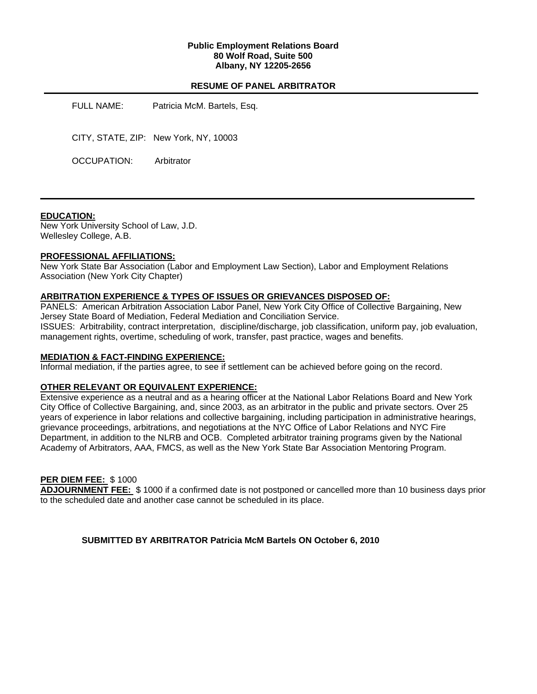### **Public Employment Relations Board 80 Wolf Road, Suite 500 Albany, NY 12205-2656**

## **RESUME OF PANEL ARBITRATOR**

| Patricia McM. Bartels, Esq.           |
|---------------------------------------|
| CITY, STATE, ZIP: New York, NY, 10003 |
| Arbitrator                            |
|                                       |

#### **EDUCATION:**

New York University School of Law, J.D. Wellesley College, A.B.

## **PROFESSIONAL AFFILIATIONS:**

New York State Bar Association (Labor and Employment Law Section), Labor and Employment Relations Association (New York City Chapter)

#### **ARBITRATION EXPERIENCE & TYPES OF ISSUES OR GRIEVANCES DISPOSED OF:**

PANELS: American Arbitration Association Labor Panel, New York City Office of Collective Bargaining, New Jersey State Board of Mediation, Federal Mediation and Conciliation Service. ISSUES: Arbitrability, contract interpretation, discipline/discharge, job classification, uniform pay, job evaluation, management rights, overtime, scheduling of work, transfer, past practice, wages and benefits.

#### **MEDIATION & FACT-FINDING EXPERIENCE:**

Informal mediation, if the parties agree, to see if settlement can be achieved before going on the record.

#### **OTHER RELEVANT OR EQUIVALENT EXPERIENCE:**

Extensive experience as a neutral and as a hearing officer at the National Labor Relations Board and New York City Office of Collective Bargaining, and, since 2003, as an arbitrator in the public and private sectors. Over 25 years of experience in labor relations and collective bargaining, including participation in administrative hearings, grievance proceedings, arbitrations, and negotiations at the NYC Office of Labor Relations and NYC Fire Department, in addition to the NLRB and OCB. Completed arbitrator training programs given by the National Academy of Arbitrators, AAA, FMCS, as well as the New York State Bar Association Mentoring Program.

## **PER DIEM FEE:** \$ 1000

**ADJOURNMENT FEE:** \$ 1000 if a confirmed date is not postponed or cancelled more than 10 business days prior to the scheduled date and another case cannot be scheduled in its place.

**SUBMITTED BY ARBITRATOR Patricia McM Bartels ON October 6, 2010**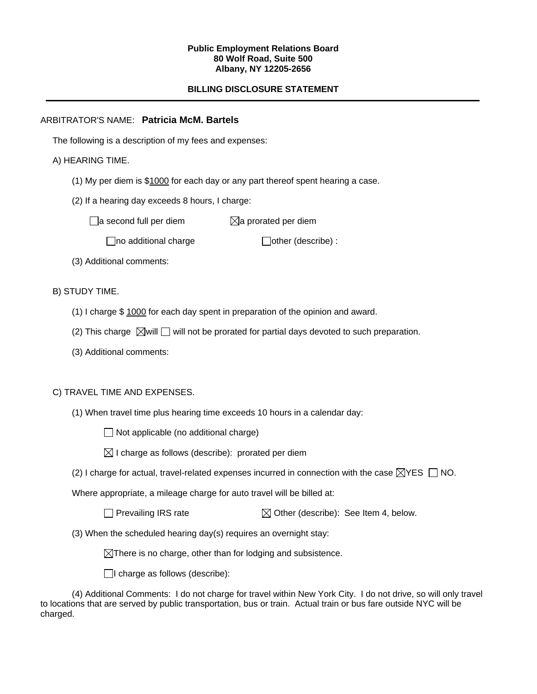#### **Public Employment Relations Board 80 Wolf Road, Suite 500 Albany, NY 12205-2656**

# **BILLING DISCLOSURE STATEMENT**

# ARBITRATOR'S NAME: **Patricia McM. Bartels**

The following is a description of my fees and expenses:

# A) HEARING TIME.

- (1) My per diem is \$1000 for each day or any part thereof spent hearing a case.
- (2) If a hearing day exceeds 8 hours, I charge:

 $\Box$ a second full per diem  $\boxtimes$ a prorated per diem

 $\Box$ no additional charge  $\Box$ other (describe) :

(3) Additional comments:

B) STUDY TIME.

- (1) I charge \$ 1000 for each day spent in preparation of the opinion and award.
- (2) This charge  $\boxtimes$  will  $\Box$  will not be prorated for partial days devoted to such preparation.
- (3) Additional comments:

### C) TRAVEL TIME AND EXPENSES.

(1) When travel time plus hearing time exceeds 10 hours in a calendar day:

 $\Box$  Not applicable (no additional charge)

 $\boxtimes$  I charge as follows (describe): prorated per diem

(2) I charge for actual, travel-related expenses incurred in connection with the case  $\boxtimes$ YES  $\Box$  NO.

Where appropriate, a mileage charge for auto travel will be billed at:

Prevailing IRS rate  $\boxtimes$  Other (describe): See Item 4, below.

(3) When the scheduled hearing day(s) requires an overnight stay:

 $\boxtimes$ There is no charge, other than for lodging and subsistence.

 $\Box$ I charge as follows (describe):

(4) Additional Comments: I do not charge for travel within New York City. I do not drive, so will only travel to locations that are served by public transportation, bus or train. Actual train or bus fare outside NYC will be charged.